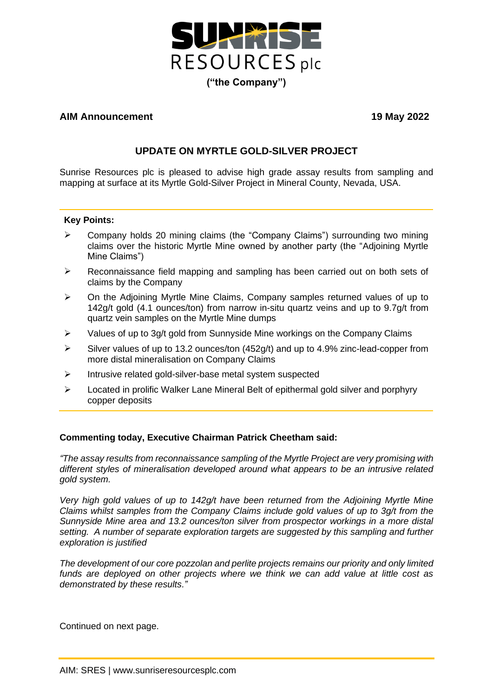

### **AIM Announcement 19 May 2022**

# **UPDATE ON MYRTLE GOLD-SILVER PROJECT**

Sunrise Resources plc is pleased to advise high grade assay results from sampling and mapping at surface at its Myrtle Gold-Silver Project in Mineral County, Nevada, USA.

#### **Key Points:**

- ➢ Company holds 20 mining claims (the "Company Claims") surrounding two mining claims over the historic Myrtle Mine owned by another party (the "Adjoining Myrtle Mine Claims")
- $\triangleright$  Reconnaissance field mapping and sampling has been carried out on both sets of claims by the Company
- $\triangleright$  On the Adioining Myrtle Mine Claims, Company samples returned values of up to 142g/t gold (4.1 ounces/ton) from narrow in-situ quartz veins and up to 9.7g/t from quartz vein samples on the Myrtle Mine dumps
- ➢ Values of up to 3g/t gold from Sunnyside Mine workings on the Company Claims
- ➢ Silver values of up to 13.2 ounces/ton (452g/t) and up to 4.9% zinc-lead-copper from more distal mineralisation on Company Claims
- ➢ Intrusive related gold-silver-base metal system suspected
- $\triangleright$  Located in prolific Walker Lane Mineral Belt of epithermal gold silver and porphyry copper deposits

#### **Commenting today, Executive Chairman Patrick Cheetham said:**

*"The assay results from reconnaissance sampling of the Myrtle Project are very promising with different styles of mineralisation developed around what appears to be an intrusive related gold system.* 

*Very high gold values of up to 142g/t have been returned from the Adjoining Myrtle Mine Claims whilst samples from the Company Claims include gold values of up to 3g/t from the Sunnyside Mine area and 13.2 ounces/ton silver from prospector workings in a more distal setting. A number of separate exploration targets are suggested by this sampling and further exploration is justified*

*The development of our core pozzolan and perlite projects remains our priority and only limited funds are deployed on other projects where we think we can add value at little cost as demonstrated by these results."*

Continued on next page.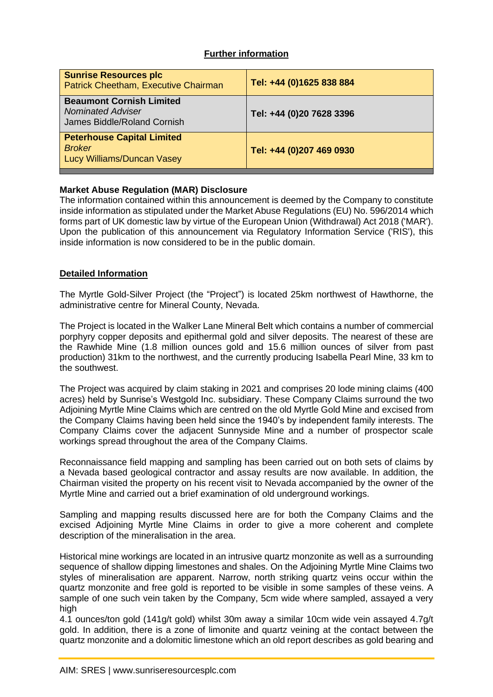## **Further information**

| <b>Sunrise Resources plc</b><br>Patrick Cheetham, Executive Chairman                       | Tel: +44 (0)1625 838 884 |
|--------------------------------------------------------------------------------------------|--------------------------|
| <b>Beaumont Cornish Limited</b><br><b>Nominated Adviser</b><br>James Biddle/Roland Cornish | Tel: +44 (0)20 7628 3396 |
| <b>Peterhouse Capital Limited</b><br><b>Broker</b><br><b>Lucy Williams/Duncan Vasey</b>    | Tel: +44 (0)207 469 0930 |

### **Market Abuse Regulation (MAR) Disclosure**

The information contained within this announcement is deemed by the Company to constitute inside information as stipulated under the Market Abuse Regulations (EU) No. 596/2014 which forms part of UK domestic law by virtue of the European Union (Withdrawal) Act 2018 ('MAR'). Upon the publication of this announcement via Regulatory Information Service ('RIS'), this inside information is now considered to be in the public domain.

### **Detailed Information**

The Myrtle Gold-Silver Project (the "Project") is located 25km northwest of Hawthorne, the administrative centre for Mineral County, Nevada.

The Project is located in the Walker Lane Mineral Belt which contains a number of commercial porphyry copper deposits and epithermal gold and silver deposits. The nearest of these are the Rawhide Mine (1.8 million ounces gold and 15.6 million ounces of silver from past production) 31km to the northwest, and the currently producing Isabella Pearl Mine, 33 km to the southwest.

The Project was acquired by claim staking in 2021 and comprises 20 lode mining claims (400 acres) held by Sunrise's Westgold Inc. subsidiary. These Company Claims surround the two Adjoining Myrtle Mine Claims which are centred on the old Myrtle Gold Mine and excised from the Company Claims having been held since the 1940's by independent family interests. The Company Claims cover the adjacent Sunnyside Mine and a number of prospector scale workings spread throughout the area of the Company Claims.

Reconnaissance field mapping and sampling has been carried out on both sets of claims by a Nevada based geological contractor and assay results are now available. In addition, the Chairman visited the property on his recent visit to Nevada accompanied by the owner of the Myrtle Mine and carried out a brief examination of old underground workings.

Sampling and mapping results discussed here are for both the Company Claims and the excised Adjoining Myrtle Mine Claims in order to give a more coherent and complete description of the mineralisation in the area.

Historical mine workings are located in an intrusive quartz monzonite as well as a surrounding sequence of shallow dipping limestones and shales. On the Adjoining Myrtle Mine Claims two styles of mineralisation are apparent. Narrow, north striking quartz veins occur within the quartz monzonite and free gold is reported to be visible in some samples of these veins. A sample of one such vein taken by the Company, 5cm wide where sampled, assayed a very high

4.1 ounces/ton gold (141g/t gold) whilst 30m away a similar 10cm wide vein assayed 4.7g/t gold. In addition, there is a zone of limonite and quartz veining at the contact between the quartz monzonite and a dolomitic limestone which an old report describes as gold bearing and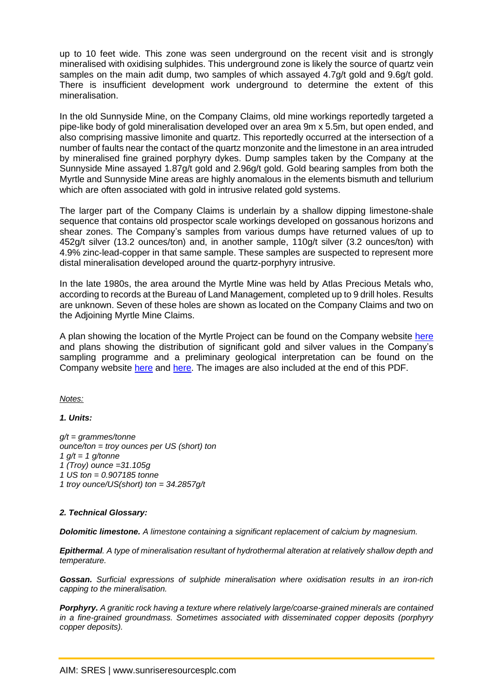up to 10 feet wide. This zone was seen underground on the recent visit and is strongly mineralised with oxidising sulphides. This underground zone is likely the source of quartz vein samples on the main adit dump, two samples of which assayed 4.7g/t gold and 9.6g/t gold. There is insufficient development work underground to determine the extent of this mineralisation.

In the old Sunnyside Mine, on the Company Claims, old mine workings reportedly targeted a pipe-like body of gold mineralisation developed over an area 9m x 5.5m, but open ended, and also comprising massive limonite and quartz. This reportedly occurred at the intersection of a number of faults near the contact of the quartz monzonite and the limestone in an area intruded by mineralised fine grained porphyry dykes. Dump samples taken by the Company at the Sunnyside Mine assayed 1.87g/t gold and 2.96g/t gold. Gold bearing samples from both the Myrtle and Sunnyside Mine areas are highly anomalous in the elements bismuth and tellurium which are often associated with gold in intrusive related gold systems.

The larger part of the Company Claims is underlain by a shallow dipping limestone-shale sequence that contains old prospector scale workings developed on gossanous horizons and shear zones. The Company's samples from various dumps have returned values of up to 452g/t silver (13.2 ounces/ton) and, in another sample, 110g/t silver (3.2 ounces/ton) with 4.9% zinc-lead-copper in that same sample. These samples are suspected to represent more distal mineralisation developed around the quartz-porphyry intrusive.

In the late 1980s, the area around the Myrtle Mine was held by Atlas Precious Metals who, according to records at the Bureau of Land Management, completed up to 9 drill holes. Results are unknown. Seven of these holes are shown as located on the Company Claims and two on the Adjoining Myrtle Mine Claims.

A plan showing the location of the Myrtle Project can be found on the Company website [here](https://www.sunriseresourcesplc.com/filemanager/Myrtle/Myrtle%20Location%20Plan.jpg) and plans showing the distribution of significant gold and silver values in the Company's sampling programme and a preliminary geological interpretation can be found on the Company website [here](https://www.sunriseresourcesplc.com/filemanager/Myrtle/Myrtle%20Sample%20Location%20Plan%20Gold%20Final.jpg) and [here.](https://www.sunriseresourcesplc.com/filemanager/Myrtle/Myrtle%20Sample%20Location%20Plan%20Silver%20Final.jpg) The images are also included at the end of this PDF.

*Notes:*

*1. Units:*

*g/t = grammes/tonne ounce/ton = troy ounces per US (short) ton 1 g/t = 1 g/tonne 1 (Troy) ounce =31.105g 1 US ton = 0.907185 tonne 1 troy ounce/US(short) ton = 34.2857g/t*

#### *2. Technical Glossary:*

*Dolomitic limestone. A limestone containing a significant replacement of calcium by magnesium.*

*Epithermal. A type of mineralisation resultant of hydrothermal alteration at relatively shallow depth and temperature.* 

*Gossan. Surficial expressions of sulphide mineralisation where oxidisation results in an iron-rich capping to the mineralisation.*

*Porphyry. A granitic rock having a texture where relatively large/coarse-grained minerals are contained in a fine-grained groundmass. Sometimes associated with disseminated copper deposits (porphyry copper deposits).*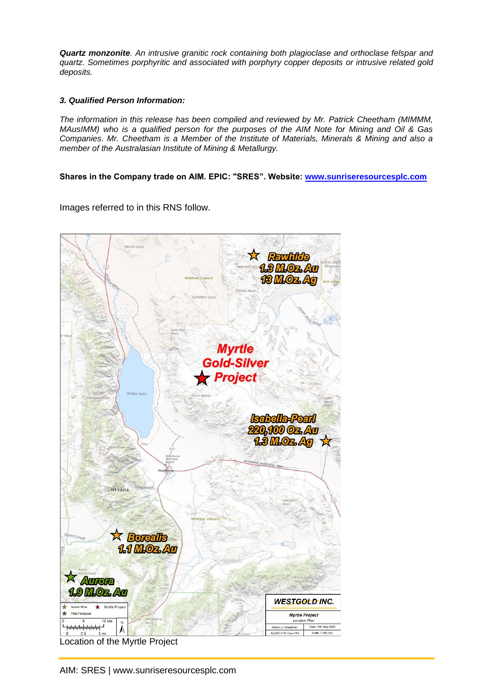*Quartz monzonite. An intrusive granitic rock containing both plagioclase and orthoclase felspar and quartz. Sometimes porphyritic and associated with porphyry copper deposits or intrusive related gold deposits.*

#### *3. Qualified Person Information:*

*The information in this release has been compiled and reviewed by Mr. Patrick Cheetham (MIMMM, MAusIMM) who is a qualified person for the purposes of the AIM Note for Mining and Oil & Gas Companies. Mr. Cheetham is a Member of the Institute of Materials, Minerals & Mining and also a member of the Australasian Institute of Mining & Metallurgy.*

**Shares in the Company trade on AIM. EPIC: "SRES". Website: [www.sunriseresourcesplc.com](http://www.sunriseresourcesplc.com/)**

Images referred to in this RNS follow.



Location of the Myrtle Project